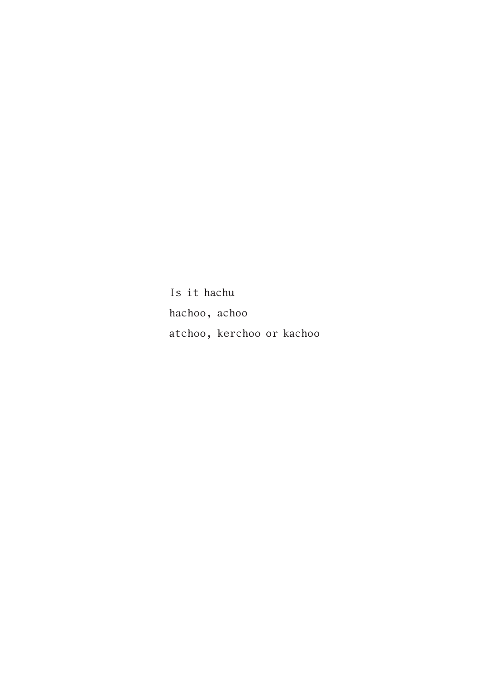Is it hachu hachoo, achoo atchoo, kerchoo or kachoo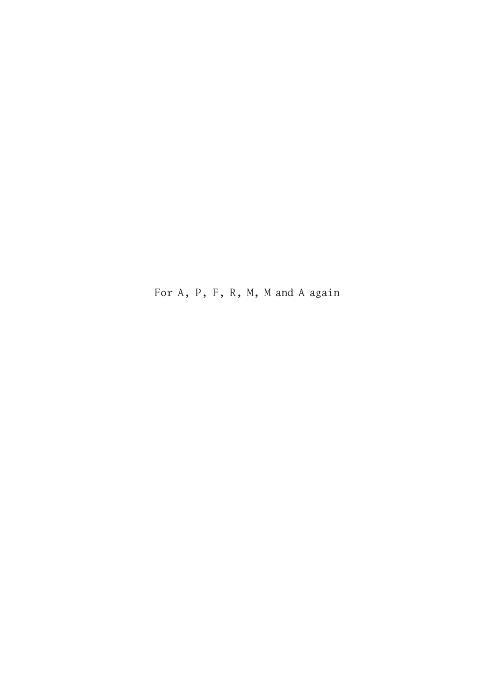For A, P, F, R, M, M and A again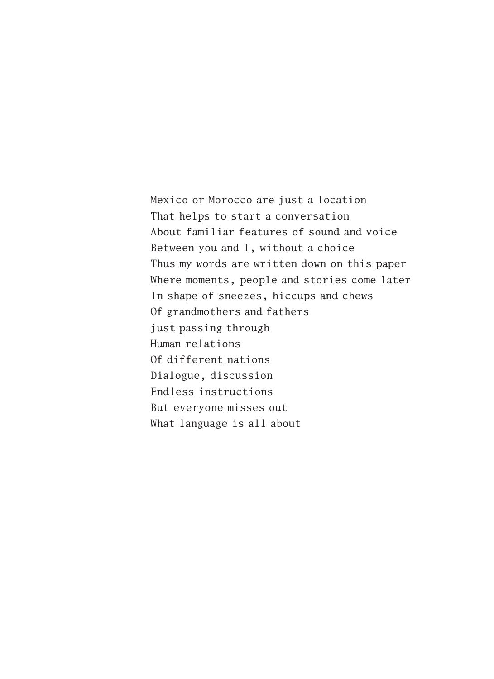Mexico or Morocco are just a location That helps to start a conversation About familiar features of sound and voice Between you and I, without a choice Thus my words are written down on this paper Where moments, people and stories come later In shape of sneezes, hiccups and chews Of grandmothers and fathers just passing through Human relations Of different nations Dialogue, discussion Endless instructions But everyone misses out What language is all about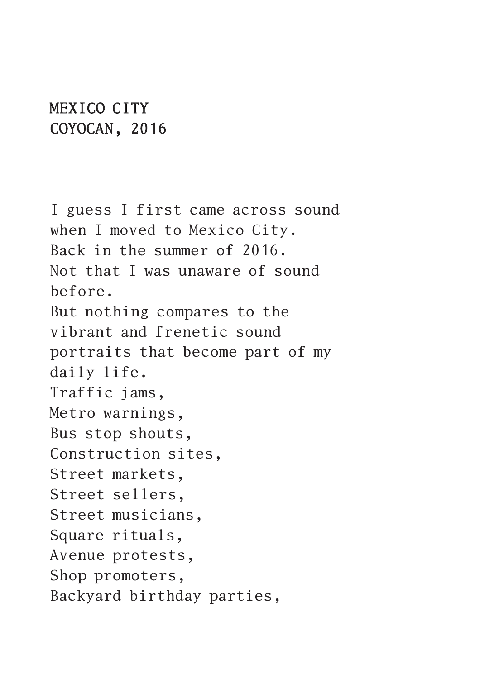## MEXICO CITY COYOCAN, 2016

I guess I first came across sound when I moved to Mexico City. Back in the summer of 2016. Not that I was unaware of sound before. But nothing compares to the vibrant and frenetic sound portraits that become part of my daily life. Traffic jams, Metro warnings, Bus stop shouts, Construction sites, Street markets, Street sellers, Street musicians, Square rituals, Avenue protests, Shop promoters, Backyard birthday parties,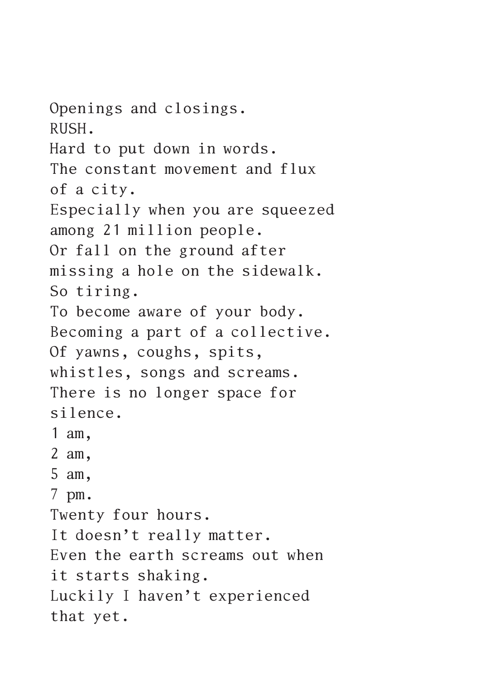Openings and closings. RUSH. Hard to put down in words. The constant movement and flux of a city. Especially when you are squeezed among 21 million people. Or fall on the ground after missing a hole on the sidewalk. So tiring. To become aware of your body. Becoming a part of a collective. Of yawns, coughs, spits, whistles, songs and screams. There is no longer space for silence. 1 am, 2 am, 5 am, 7 pm. Twenty four hours. It doesn't really matter. Even the earth screams out when it starts shaking. Luckily I haven't experienced that yet.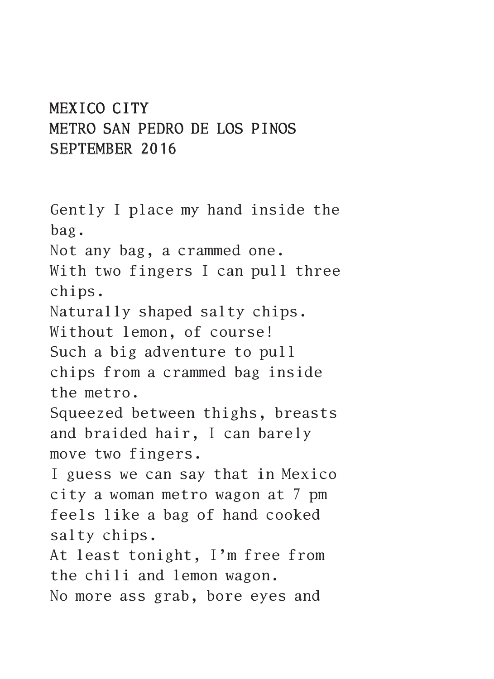## MEXICO CITY METRO SAN PEDRO DE LOS PINOS SEPTEMBER 2016

Gently I place my hand inside the bag. Not any bag, a crammed one. With two fingers I can pull three chips. Naturally shaped salty chips. Without lemon, of course! Such a big adventure to pull chips from a crammed bag inside the metro. Squeezed between thighs, breasts and braided hair, I can barely move two fingers. I guess we can say that in Mexico city a woman metro wagon at 7 pm feels like a bag of hand cooked salty chips. At least tonight, I'm free from the chili and lemon wagon. No more ass grab, bore eyes and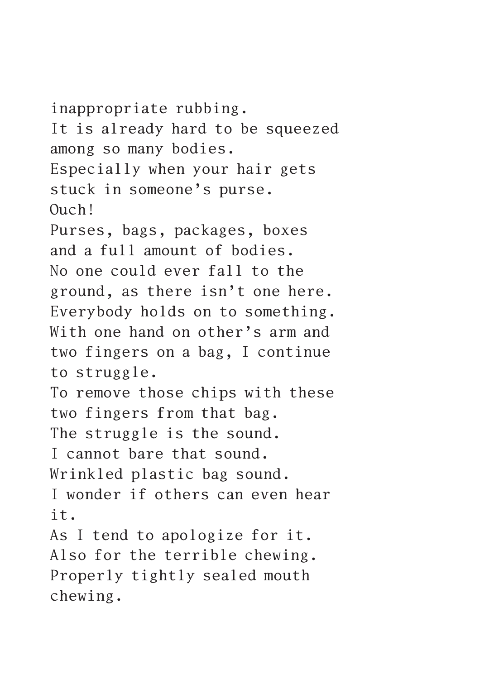inappropriate rubbing. It is already hard to be squeezed among so many bodies. Especially when your hair gets stuck in someone's purse. Ouch! Purses, bags, packages, boxes and a full amount of bodies. No one could ever fall to the ground, as there isn't one here. Everybody holds on to something. With one hand on other's arm and two fingers on a bag, I continue to struggle. To remove those chips with these two fingers from that bag. The struggle is the sound. I cannot bare that sound. Wrinkled plastic bag sound. I wonder if others can even hear it. As I tend to apologize for it. Also for the terrible chewing. Properly tightly sealed mouth chewing.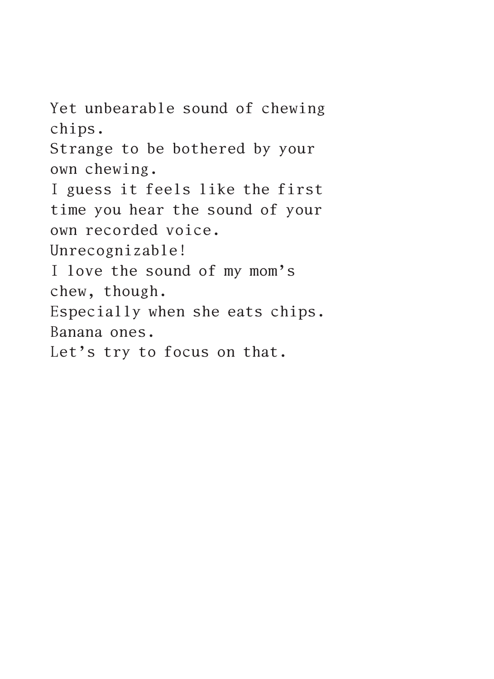Yet unbearable sound of chewing chips.

Strange to be bothered by your own chewing.

I guess it feels like the first time you hear the sound of your own recorded voice.

Unrecognizable!

I love the sound of my mom's

chew, though.

Especially when she eats chips.

Banana ones.

Let's try to focus on that.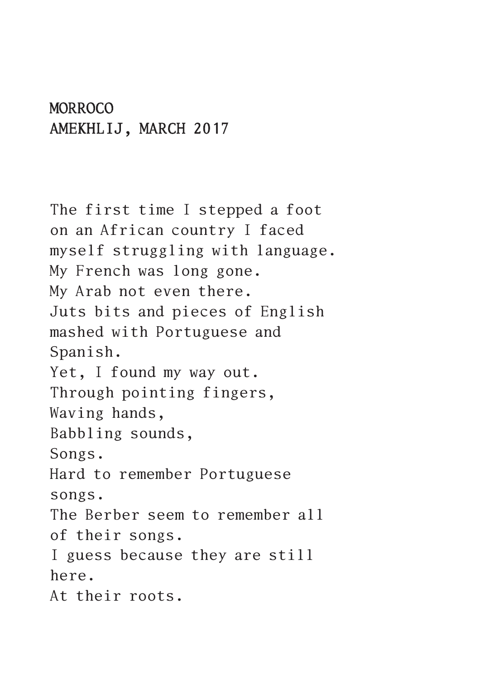## **MORROCO** AMEKHLIJ, MARCH 2017

The first time I stepped a foot on an African country I faced myself struggling with language. My French was long gone. My Arab not even there. Juts bits and pieces of English mashed with Portuguese and Spanish. Yet, I found my way out. Through pointing fingers, Waving hands, Babbling sounds, Songs. Hard to remember Portuguese songs. The Berber seem to remember all of their songs. I guess because they are still here. At their roots.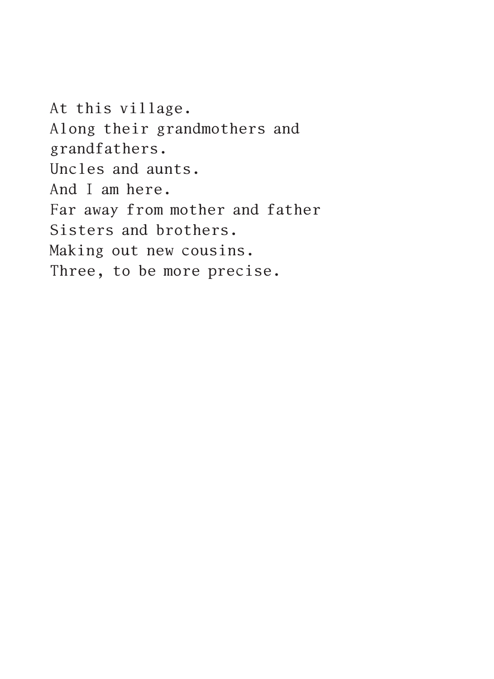At this village. Along their grandmothers and grandfathers. Uncles and aunts. And I am here. Far away from mother and father Sisters and brothers. Making out new cousins. Three, to be more precise.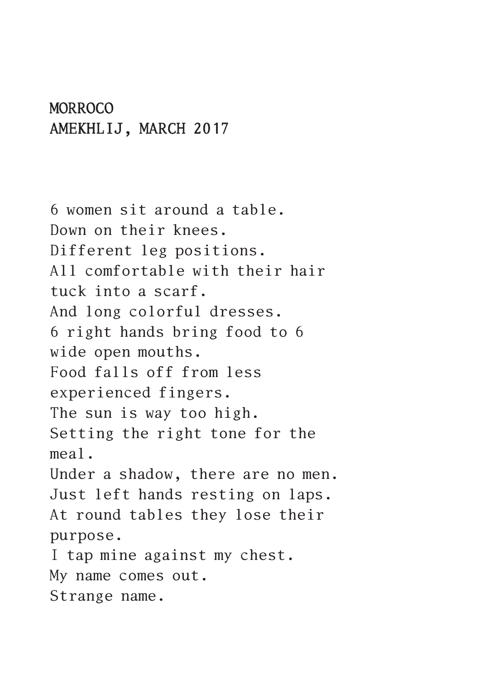## **MORROCO** AMEKHLIJ, MARCH 2017

6 women sit around a table. Down on their knees. Different leg positions. All comfortable with their hair tuck into a scarf. And long colorful dresses. 6 right hands bring food to 6 wide open mouths. Food falls off from less experienced fingers. The sun is way too high. Setting the right tone for the meal. Under a shadow, there are no men. Just left hands resting on laps. At round tables they lose their purpose. I tap mine against my chest. My name comes out. Strange name.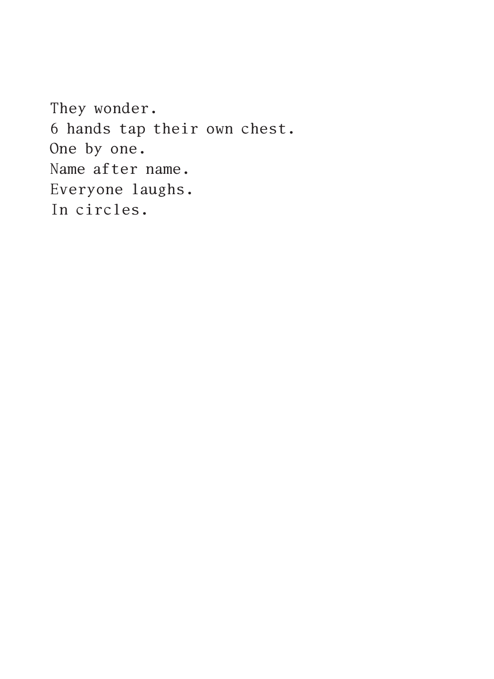They wonder. 6 hands tap their own chest. One by one. Name after name. Everyone laughs. In circles.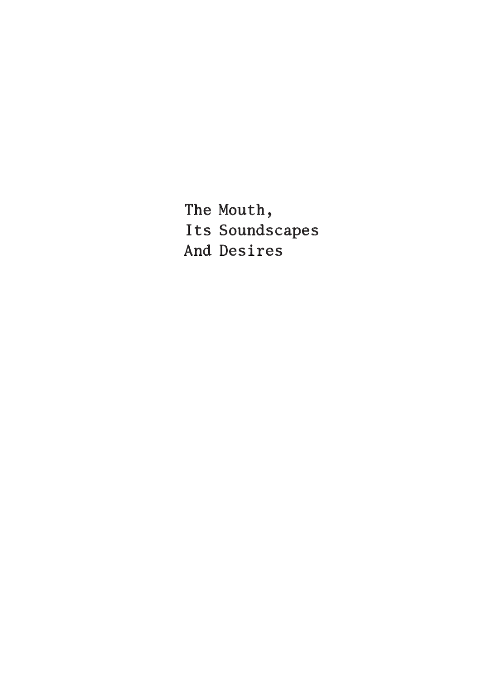The Mouth, Its Soundscapes And Desires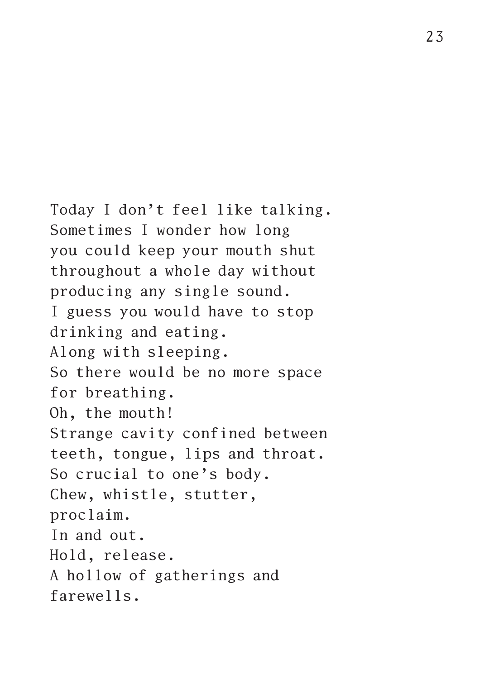Today I don't feel like talking. Sometimes I wonder how long you could keep your mouth shut throughout a whole day without producing any single sound. I guess you would have to stop drinking and eating. Along with sleeping. So there would be no more space for breathing. Oh, the mouth! Strange cavity confined between teeth, tongue, lips and throat. So crucial to one's body. Chew, whistle, stutter, proclaim. In and out. Hold, release. A hollow of gatherings and farewells.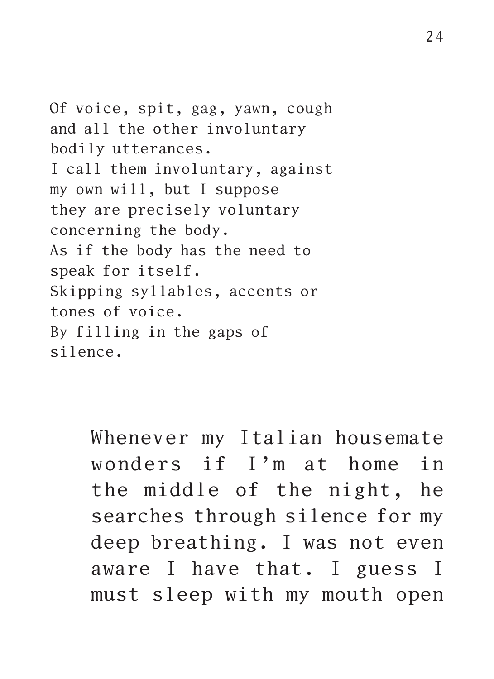Of voice, spit, gag, yawn, cough and all the other involuntary bodily utterances. I call them involuntary, against my own will, but I suppose they are precisely voluntary concerning the body. As if the body has the need to speak for itself. Skipping syllables, accents or tones of voice. By filling in the gaps of silence.

> Whenever my Italian housemate wonders if I'm at home in the middle of the night, he searches through silence for my deep breathing. I was not even aware I have that. I guess I must sleep with my mouth open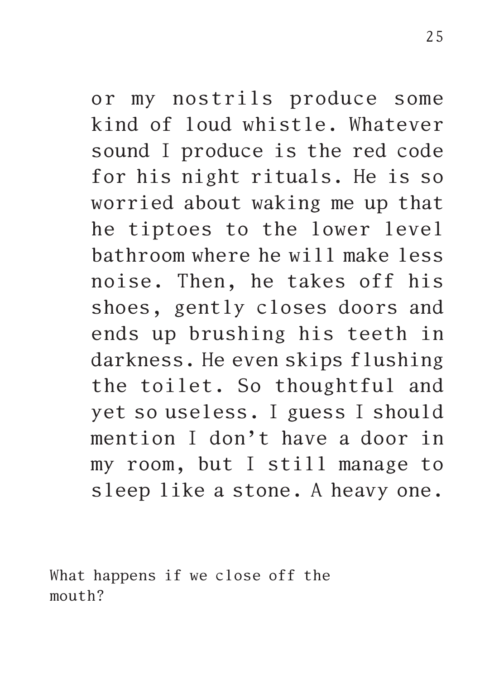or my nostrils produce some kind of loud whistle. Whatever sound I produce is the red code for his night rituals. He is so worried about waking me up that he tiptoes to the lower level bathroom where he will make less noise. Then, he takes off his shoes, gently closes doors and ends up brushing his teeth in darkness. He even skips flushing the toilet. So thoughtful and yet so useless. I guess I should mention I don't have a door in my room, but I still manage to sleep like a stone. A heavy one.

What happens if we close off the mouth?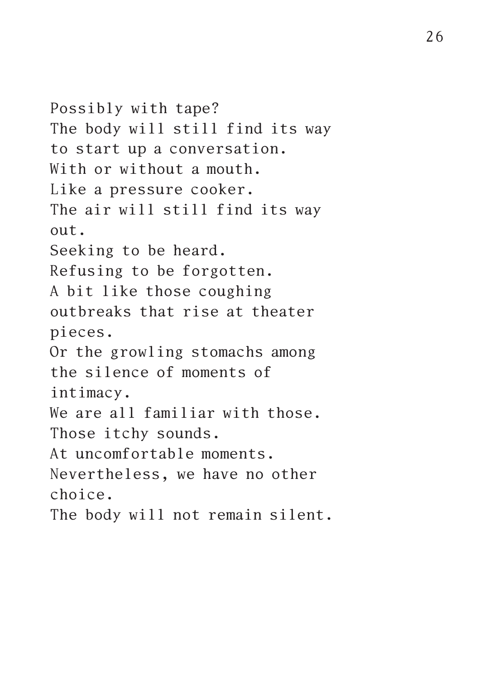Possibly with tape? The body will still find its way to start up a conversation. With or without a mouth. Like a pressure cooker. The air will still find its way out. Seeking to be heard. Refusing to be forgotten. A bit like those coughing outbreaks that rise at theater pieces. Or the growling stomachs among the silence of moments of intimacy. We are all familiar with those. Those itchy sounds. At uncomfortable moments. Nevertheless, we have no other choice. The body will not remain silent.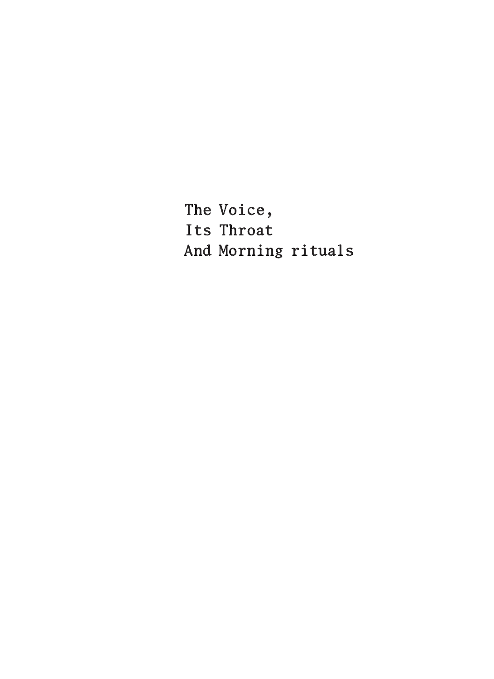The Voice, Its Throat And Morning rituals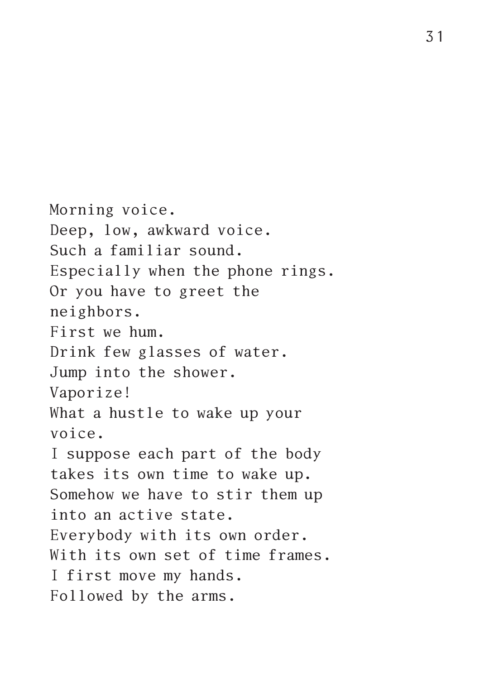Morning voice. Deep, low, awkward voice. Such a familiar sound. Especially when the phone rings. Or you have to greet the neighbors. First we hum. Drink few glasses of water. Jump into the shower. Vaporize! What a hustle to wake up your voice. I suppose each part of the body takes its own time to wake up. Somehow we have to stir them up into an active state. Everybody with its own order. With its own set of time frames. I first move my hands. Followed by the arms.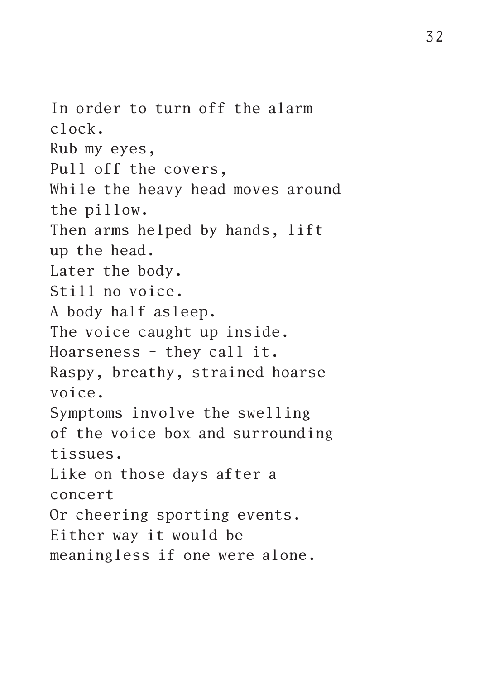In order to turn off the alarm clock. Rub my eyes, Pull off the covers, While the heavy head moves around the pillow. Then arms helped by hands, lift up the head. Later the body. Still no voice. A body half asleep. The voice caught up inside. Hoarseness – they call it. Raspy, breathy, strained hoarse voice. Symptoms involve the swelling of the voice box and surrounding tissues. Like on those days after a concert Or cheering sporting events. Either way it would be meaningless if one were alone.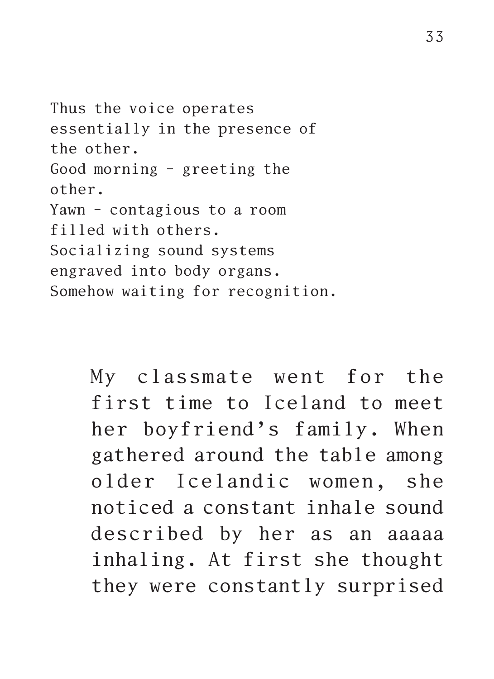Thus the voice operates essentially in the presence of the other. Good morning – greeting the other. Yawn – contagious to a room filled with others. Socializing sound systems engraved into body organs. Somehow waiting for recognition.

> My classmate went for the first time to Iceland to meet her boyfriend's family. When gathered around the table among older Icelandic women, she noticed a constant inhale sound described by her as an aaaaa inhaling. At first she thought they were constantly surprised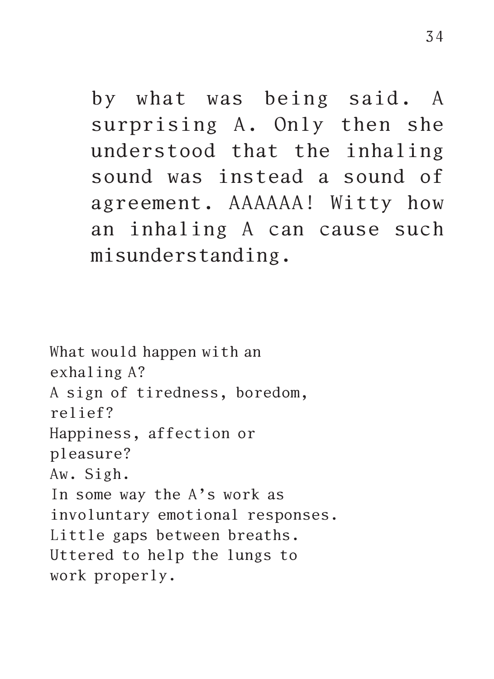by what was being said. A surprising A. Only then she understood that the inhaling sound was instead a sound of agreement. AAAAAA! Witty how an inhaling A can cause such misunderstanding.

What would happen with an exhaling A? A sign of tiredness, boredom, relief? Happiness, affection or pleasure? Aw. Sigh. In some way the A's work as involuntary emotional responses. Little gaps between breaths. Uttered to help the lungs to work properly.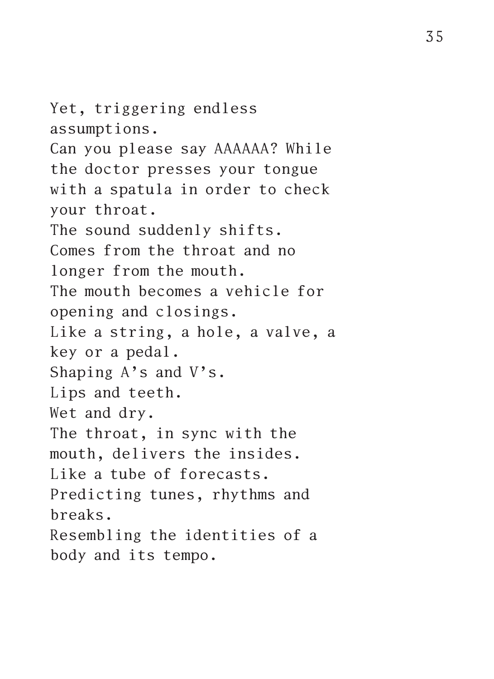Yet, triggering endless assumptions. Can you please say AAAAAA? While the doctor presses your tongue with a spatula in order to check your throat. The sound suddenly shifts. Comes from the throat and no longer from the mouth. The mouth becomes a vehicle for opening and closings. Like a string, a hole, a valve, a key or a pedal. Shaping A's and V's. Lips and teeth. Wet and dry. The throat, in sync with the mouth, delivers the insides. Like a tube of forecasts. Predicting tunes, rhythms and breaks. Resembling the identities of a body and its tempo.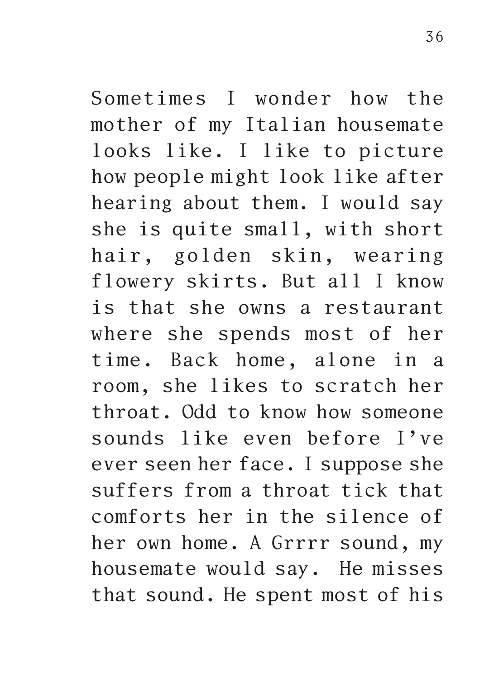Sometimes I wonder how the mother of my Italian housemate looks like. I like to picture how people might look like after hearing about them. I would say she is quite small, with short hair, golden skin, wearing flowery skirts. But all I know is that she owns a restaurant where she spends most of her time. Back home, alone in a room, she likes to scratch her throat. Odd to know how someone sounds like even before I've ever seen her face. I suppose she suffers from a throat tick that comforts her in the silence of her own home. A Grrrr sound, my housemate would say. He misses that sound. He spent most of his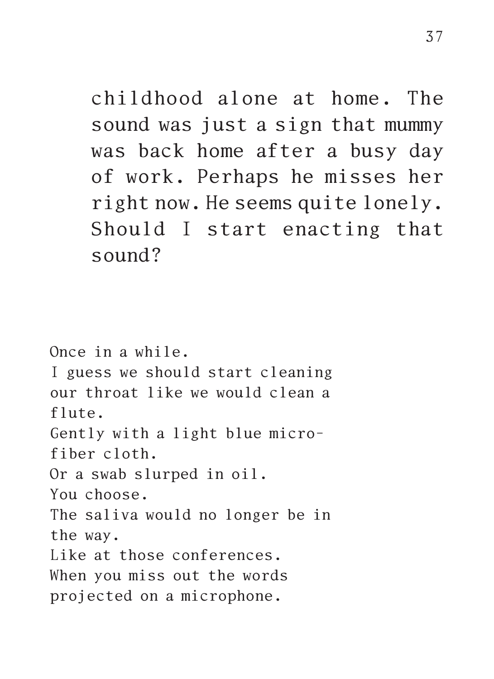childhood alone at home. The sound was just a sign that mummy was back home after a busy day of work. Perhaps he misses her right now. He seems quite lonely. Should I start enacting that sound?

Once in a while. I guess we should start cleaning our throat like we would clean a flute. Gently with a light blue microfiber cloth. Or a swab slurped in oil. You choose. The saliva would no longer be in the way. Like at those conferences. When you miss out the words projected on a microphone.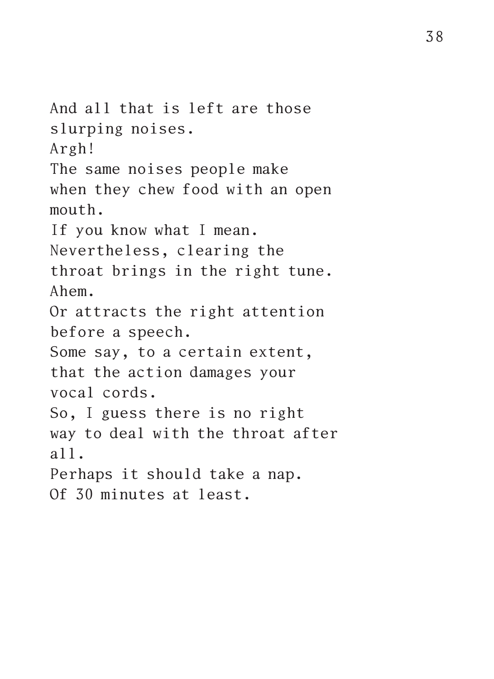And all that is left are those slurping noises. Argh! The same noises people make when they chew food with an open mouth. If you know what I mean. Nevertheless, clearing the throat brings in the right tune. Ahem. Or attracts the right attention before a speech. Some say, to a certain extent, that the action damages your vocal cords. So, I guess there is no right way to deal with the throat after all. Perhaps it should take a nap. Of 30 minutes at least.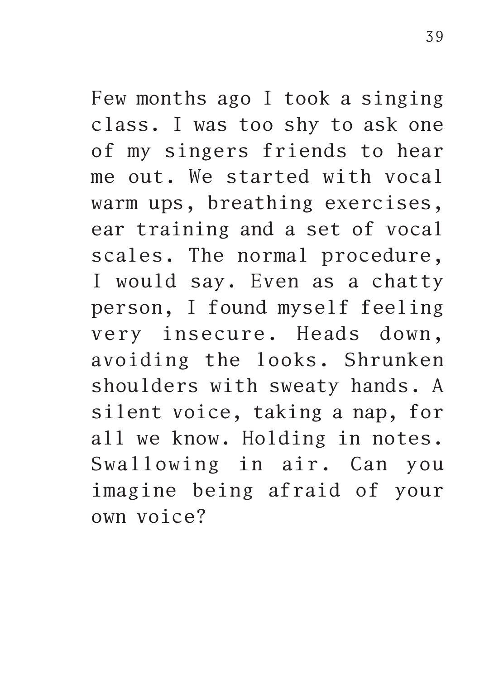Few months ago I took a singing class. I was too shy to ask one of my singers friends to hear me out. We started with vocal warm ups, breathing exercises, ear training and a set of vocal scales. The normal procedure, I would say. Even as a chatty person, I found myself feeling very insecure. Heads down, avoiding the looks. Shrunken shoulders with sweaty hands. A silent voice, taking a nap, for all we know. Holding in notes. Swallowing in air. Can you imagine being afraid of your own voice?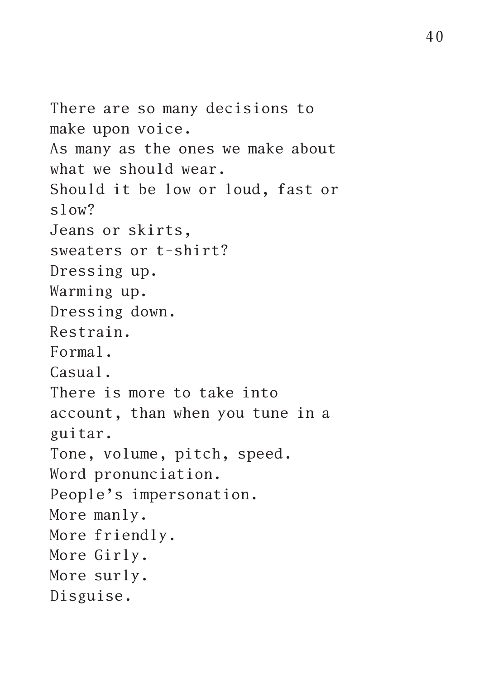There are so many decisions to make upon voice. As many as the ones we make about what we should wear. Should it be low or loud, fast or slow? Jeans or skirts, sweaters or t-shirt? Dressing up. Warming up. Dressing down. Restrain. Formal. Casual. There is more to take into account, than when you tune in a guitar. Tone, volume, pitch, speed. Word pronunciation. People's impersonation. More manly. More friendly. More Girly. More surly. Disguise.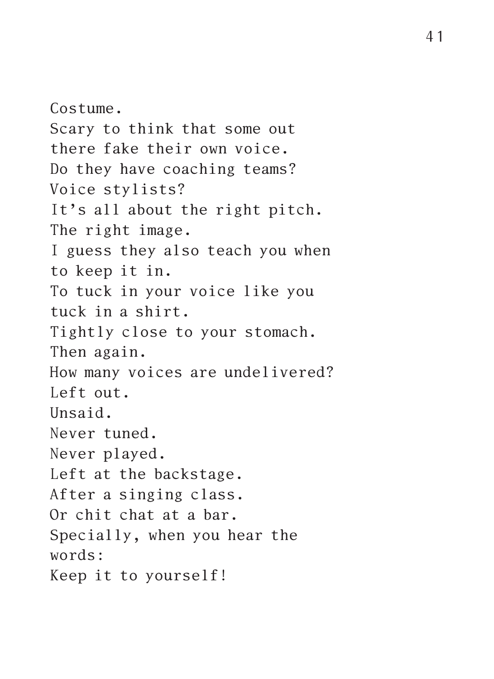Costume. Scary to think that some out there fake their own voice. Do they have coaching teams? Voice stylists? It's all about the right pitch. The right image. I guess they also teach you when to keep it in. To tuck in your voice like you tuck in a shirt. Tightly close to your stomach. Then again. How many voices are undelivered? Left out. Unsaid. Never tuned. Never played. Left at the backstage. After a singing class. Or chit chat at a bar. Specially, when you hear the words: Keep it to yourself!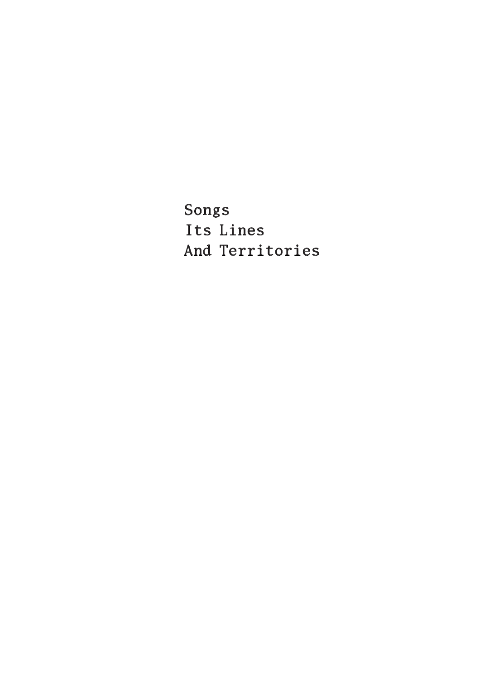Songs Its Lines And Territories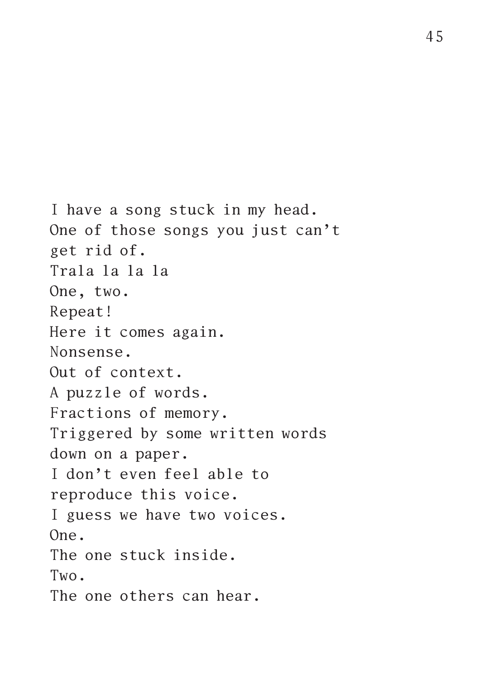I have a song stuck in my head. One of those songs you just can't get rid of. Trala la la la One, two. Repeat! Here it comes again. Nonsense. Out of context. A puzzle of words. Fractions of memory. Triggered by some written words down on a paper. I don't even feel able to reproduce this voice. I guess we have two voices. One. The one stuck inside. Two. The one others can hear.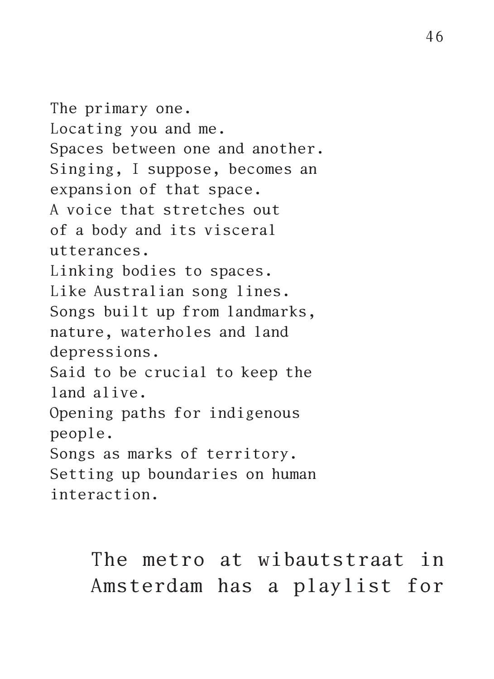The primary one. Locating you and me. Spaces between one and another. Singing, I suppose, becomes an expansion of that space. A voice that stretches out of a body and its visceral utterances. Linking bodies to spaces. Like Australian song lines. Songs built up from landmarks, nature, waterholes and land depressions. Said to be crucial to keep the land alive. Opening paths for indigenous people. Songs as marks of territory. Setting up boundaries on human interaction.

> The metro at wibautstraat in Amsterdam has a playlist for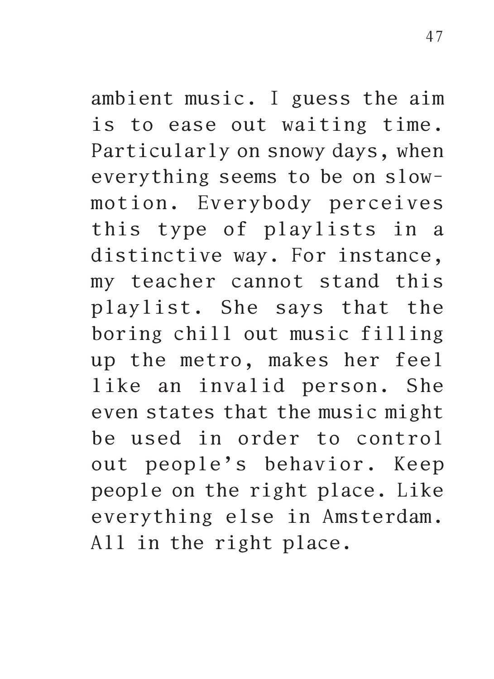ambient music. I guess the aim is to ease out waiting time. Particularly on snowy days, when everything seems to be on slowmotion. Everybody perceives this type of playlists in a distinctive way. For instance, my teacher cannot stand this playlist. She says that the boring chill out music filling up the metro, makes her feel like an invalid person. She even states that the music might be used in order to control out people's behavior. Keep people on the right place. Like everything else in Amsterdam. All in the right place.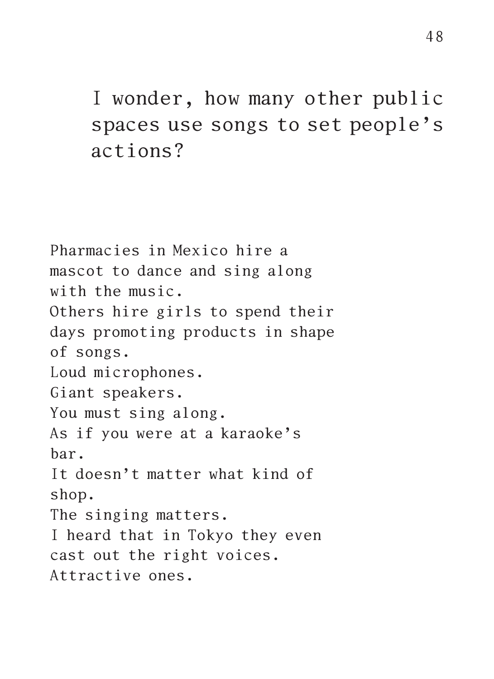I wonder, how many other public spaces use songs to set people's actions?

Pharmacies in Mexico hire a mascot to dance and sing along with the music. Others hire girls to spend their days promoting products in shape of songs. Loud microphones. Giant speakers. You must sing along. As if you were at a karaoke's bar. It doesn't matter what kind of shop. The singing matters. I heard that in Tokyo they even cast out the right voices. Attractive ones.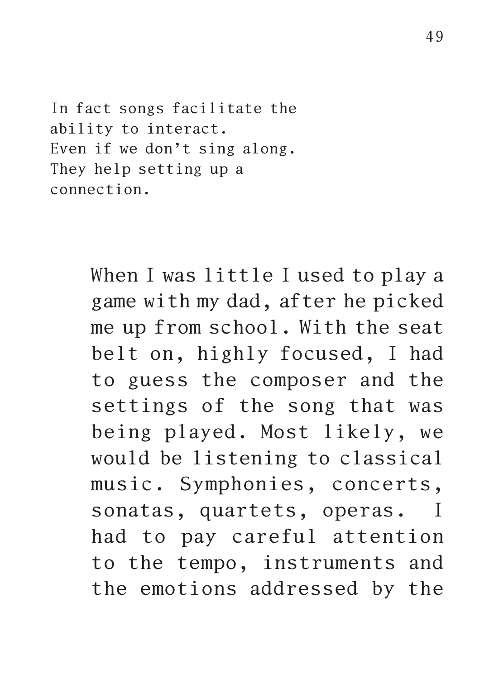In fact songs facilitate the ability to interact. Even if we don't sing along. They help setting up a connection.

> When I was little I used to play a game with my dad, after he picked me up from school. With the seat belt on, highly focused, I had to guess the composer and the settings of the song that was being played. Most likely, we would be listening to classical music. Symphonies, concerts, sonatas, quartets, operas. I had to pay careful attention to the tempo, instruments and the emotions addressed by the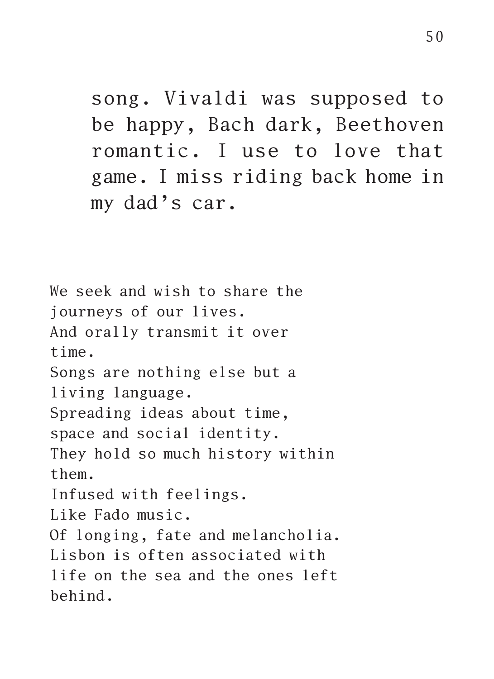song. Vivaldi was supposed to be happy, Bach dark, Beethoven romantic. I use to love that game. I miss riding back home in my dad's car.

We seek and wish to share the journeys of our lives. And orally transmit it over time. Songs are nothing else but a living language. Spreading ideas about time, space and social identity. They hold so much history within them. Infused with feelings. Like Fado music. Of longing, fate and melancholia. Lisbon is often associated with life on the sea and the ones left behind.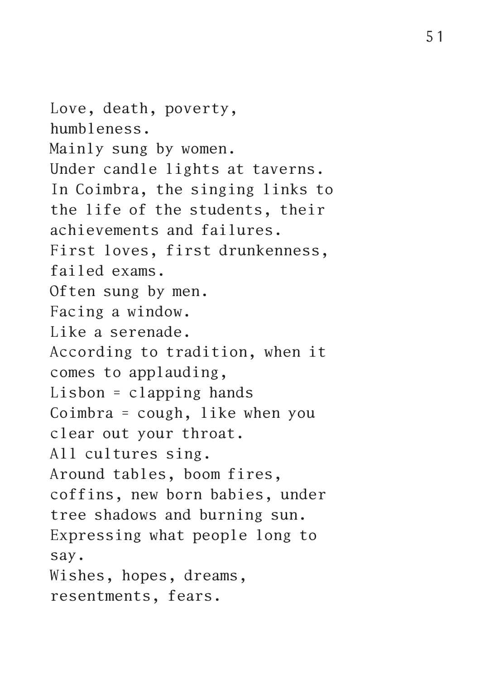Love, death, poverty, humbleness. Mainly sung by women. Under candle lights at taverns. In Coimbra, the singing links to the life of the students, their achievements and failures. First loves, first drunkenness, failed exams. Often sung by men. Facing a window. Like a serenade. According to tradition, when it comes to applauding, Lisbon = clapping hands Coimbra = cough, like when you clear out your throat. All cultures sing. Around tables, boom fires, coffins, new born babies, under tree shadows and burning sun. Expressing what people long to say. Wishes, hopes, dreams, resentments, fears.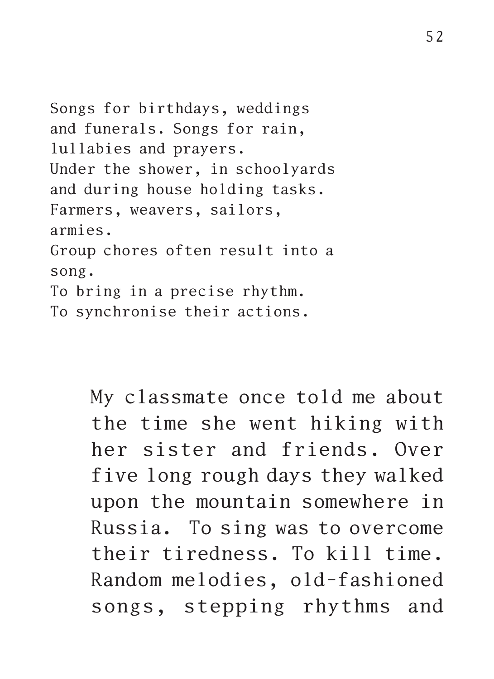Songs for birthdays, weddings and funerals. Songs for rain, lullabies and prayers. Under the shower, in schoolyards and during house holding tasks. Farmers, weavers, sailors, armies. Group chores often result into a song. To bring in a precise rhythm. To synchronise their actions.

> My classmate once told me about the time she went hiking with her sister and friends. Over five long rough days they walked upon the mountain somewhere in Russia. To sing was to overcome their tiredness. To kill time. Random melodies, old-fashioned songs, stepping rhythms and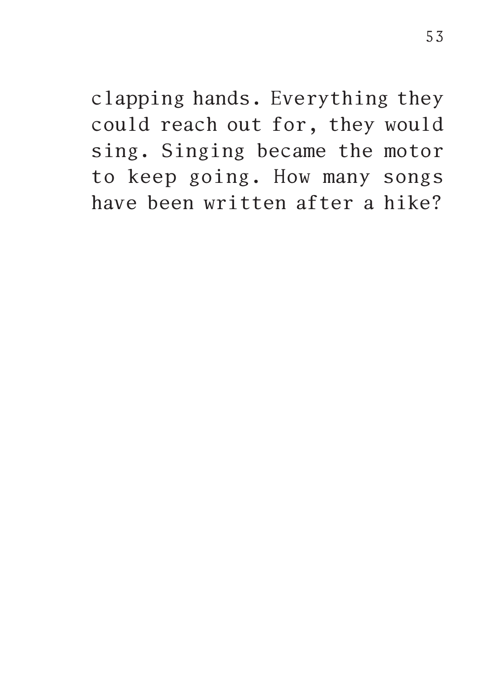clapping hands. Everything they could reach out for, they would sing. Singing became the motor to keep going. How many songs have been written after a hike?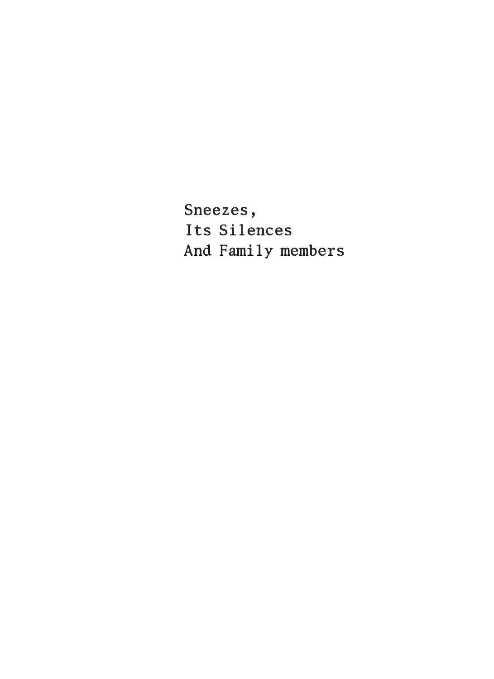Sneezes, Its Silences And Family members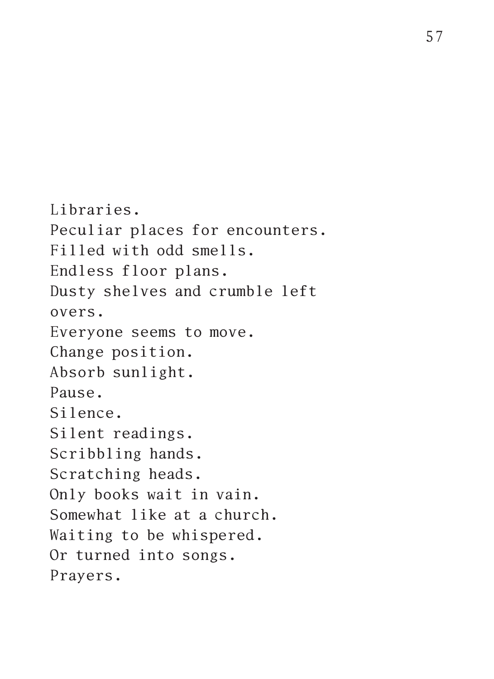Libraries. Peculiar places for encounters. Filled with odd smells. Endless floor plans. Dusty shelves and crumble left overs. Everyone seems to move. Change position. Absorb sunlight. Pause. Silence. Silent readings. Scribbling hands. Scratching heads. Only books wait in vain. Somewhat like at a church. Waiting to be whispered. Or turned into songs. Prayers.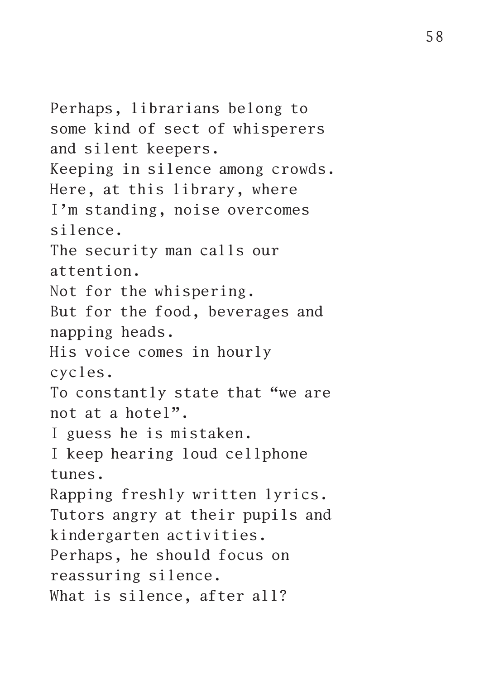Perhaps, librarians belong to some kind of sect of whisperers and silent keepers. Keeping in silence among crowds. Here, at this library, where I'm standing, noise overcomes silence. The security man calls our attention. Not for the whispering. But for the food, beverages and napping heads. His voice comes in hourly cycles. To constantly state that "we are not at a hotel". I guess he is mistaken. I keep hearing loud cellphone tunes. Rapping freshly written lyrics. Tutors angry at their pupils and kindergarten activities. Perhaps, he should focus on reassuring silence. What is silence, after all?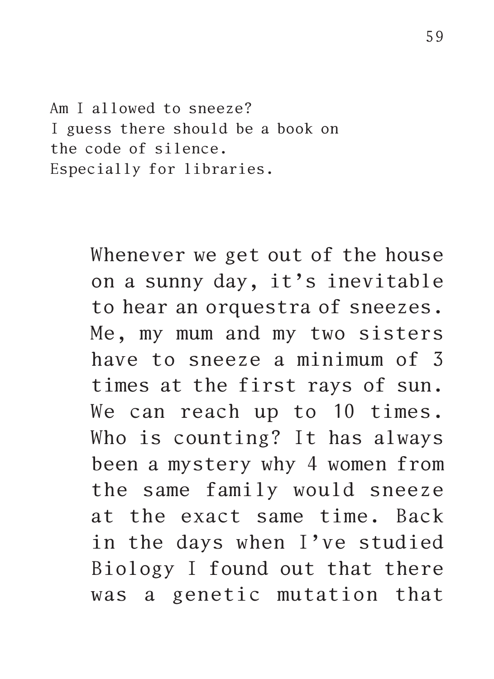Am I allowed to sneeze? I guess there should be a book on the code of silence. Especially for libraries.

> Whenever we get out of the house on a sunny day, it's inevitable to hear an orquestra of sneezes. Me, my mum and my two sisters have to sneeze a minimum of 3 times at the first rays of sun. We can reach up to 10 times. Who is counting? It has always been a mystery why 4 women from the same family would sneeze at the exact same time. Back in the days when I've studied Biology I found out that there was a genetic mutation that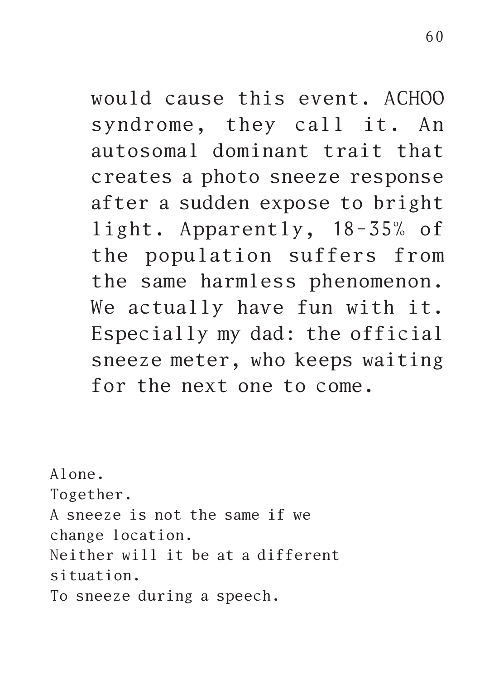would cause this event. ACHOO syndrome, they call it. An autosomal dominant trait that creates a photo sneeze response after a sudden expose to bright light. Apparently, 18-35% of the population suffers from the same harmless phenomenon. We actually have fun with it. Especially my dad: the official sneeze meter, who keeps waiting for the next one to come.

Alone. Together. A sneeze is not the same if we change location. Neither will it be at a different situation. To sneeze during a speech.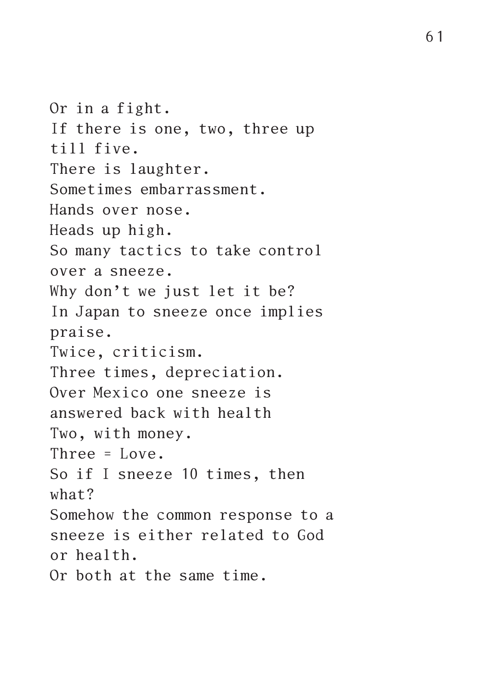Or in a fight. If there is one, two, three up till five. There is laughter. Sometimes embarrassment. Hands over nose. Heads up high. So many tactics to take control over a sneeze. Why don't we just let it be? In Japan to sneeze once implies praise. Twice, criticism. Three times, depreciation. Over Mexico one sneeze is answered back with health Two, with money. Three = Love. So if I sneeze 10 times, then what? Somehow the common response to a sneeze is either related to God or health. Or both at the same time.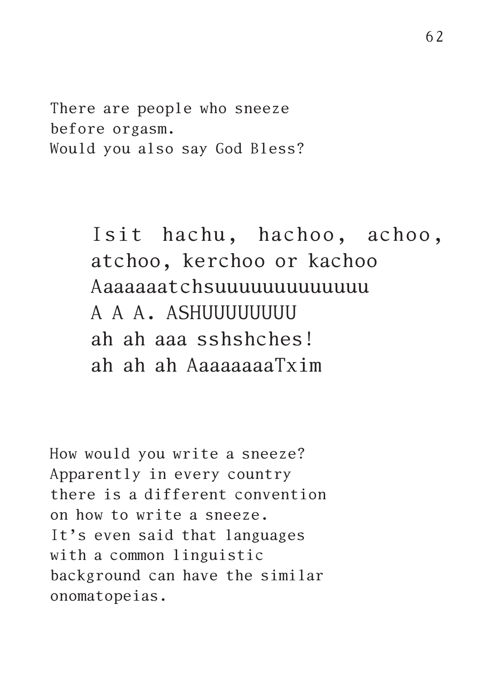There are people who sneeze before orgasm. Would you also say God Bless?

> Isit hachu, hachoo, achoo, atchoo, kerchoo or kachoo Aaaaaaatchsuuuuuuuuuuuuu A A A, ASHUUUUUUUUU ah ah aaa sshshches! ah ah ah AaaaaaaaTxim

How would you write a sneeze? Apparently in every country there is a different convention on how to write a sneeze. It's even said that languages with a common linguistic background can have the similar onomatopeias.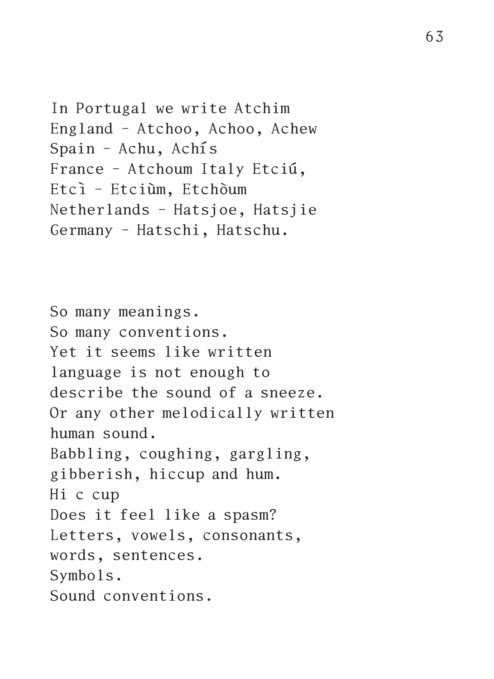In Portugal we write Atchim England – Atchoo, Achoo, Achew Spain – Achu, Achís France – Atchoum Italy Etciú, Etcì – Etciùm, Etchòum Netherlands – Hatsjoe, Hatsjie Germany – Hatschi, Hatschu.

So many meanings. So many conventions. Yet it seems like written language is not enough to describe the sound of a sneeze. Or any other melodically written human sound. Babbling, coughing, gargling, gibberish, hiccup and hum. Hi c cup Does it feel like a spasm? Letters, vowels, consonants, words, sentences. Symbols. Sound conventions.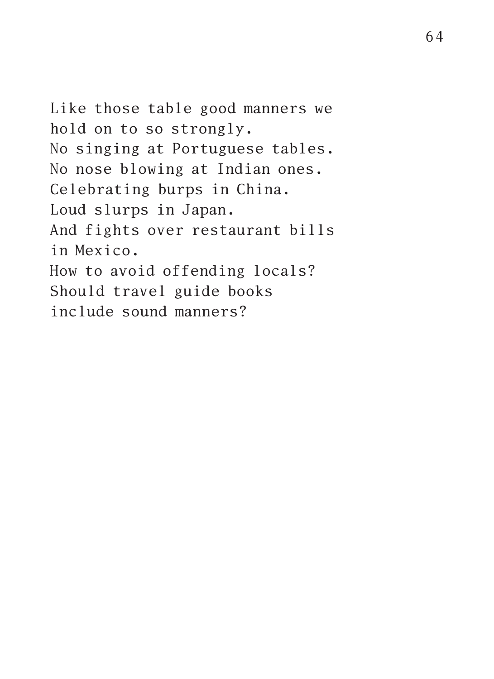Like those table good manners we hold on to so strongly. No singing at Portuguese tables. No nose blowing at Indian ones. Celebrating burps in China. Loud slurps in Japan. And fights over restaurant bills in Mexico. How to avoid offending locals? Should travel guide books include sound manners?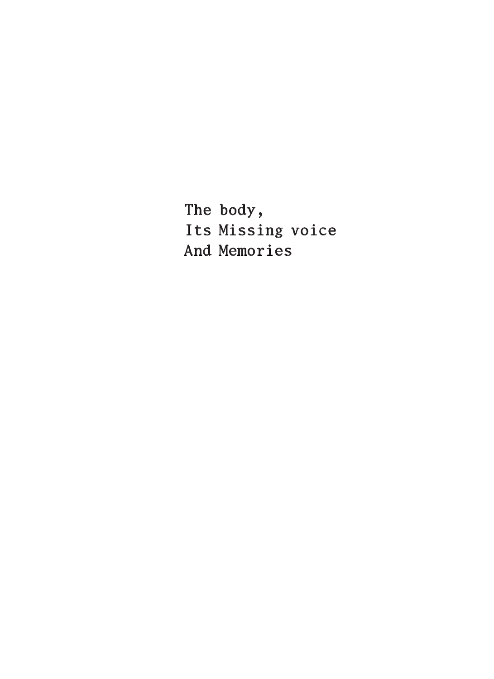The body, Its Missing voice And Memories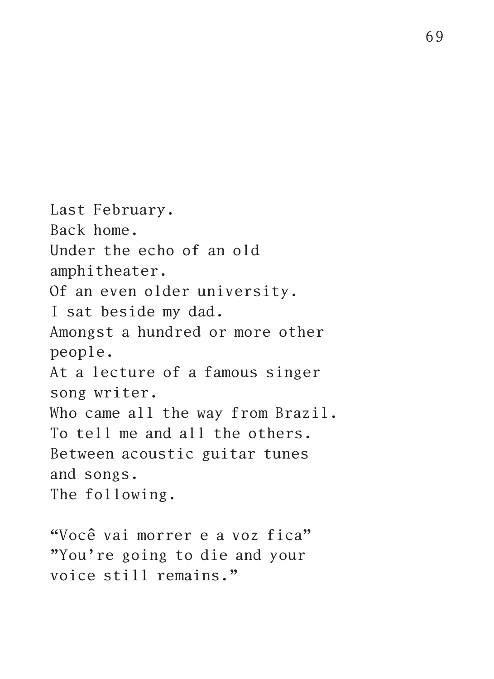Last February. Back home. Under the echo of an old amphitheater. Of an even older university. I sat beside my dad. Amongst a hundred or more other people. At a lecture of a famous singer song writer. Who came all the way from Brazil. To tell me and all the others. Between acoustic guitar tunes and songs. The following.

"Você vai morrer e a voz fica" "You're going to die and your voice still remains."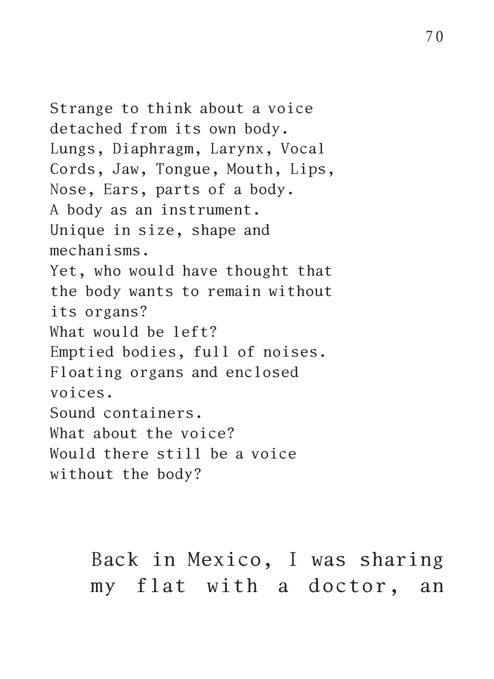Strange to think about a voice detached from its own body. Lungs, Diaphragm, Larynx, Vocal Cords, Jaw, Tongue, Mouth, Lips, Nose, Ears, parts of a body. A body as an instrument. Unique in size, shape and mechanisms. Yet, who would have thought that the body wants to remain without its organs? What would be left? Emptied bodies, full of noises. Floating organs and enclosed voices. Sound containers. What about the voice? Would there still be a voice without the body?

> Back in Mexico, I was sharing my flat with a doctor, an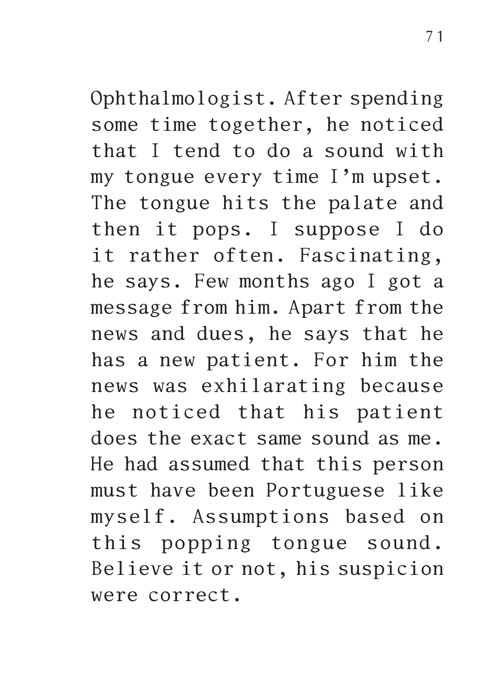Ophthalmologist. After spending some time together, he noticed that I tend to do a sound with my tongue every time I'm upset. The tongue hits the palate and then it pops. I suppose I do it rather often. Fascinating, he says. Few months ago I got a message from him. Apart from the news and dues, he says that he has a new patient. For him the news was exhilarating because he noticed that his patient does the exact same sound as me. He had assumed that this person must have been Portuguese like myself. Assumptions based on this popping tongue sound. Believe it or not, his suspicion were correct.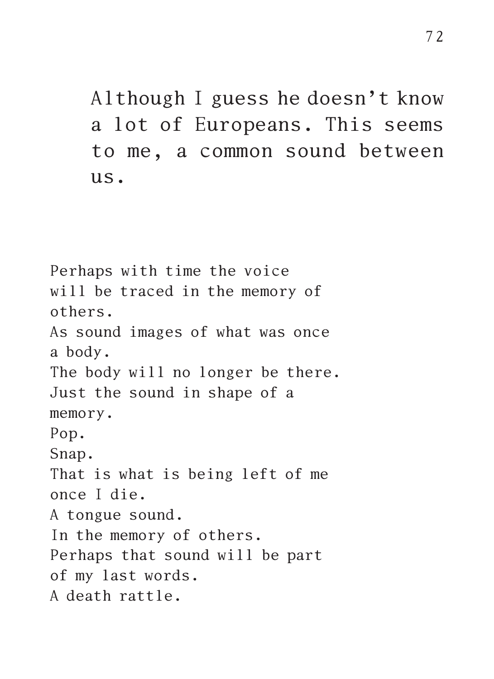Although I guess he doesn't know a lot of Europeans. This seems to me, a common sound between  $\overline{u}$ s.

Perhaps with time the voice will be traced in the memory of others. As sound images of what was once a body. The body will no longer be there. Just the sound in shape of a memory. Pop. Snap. That is what is being left of me once I die. A tongue sound. In the memory of others. Perhaps that sound will be part of my last words. A death rattle.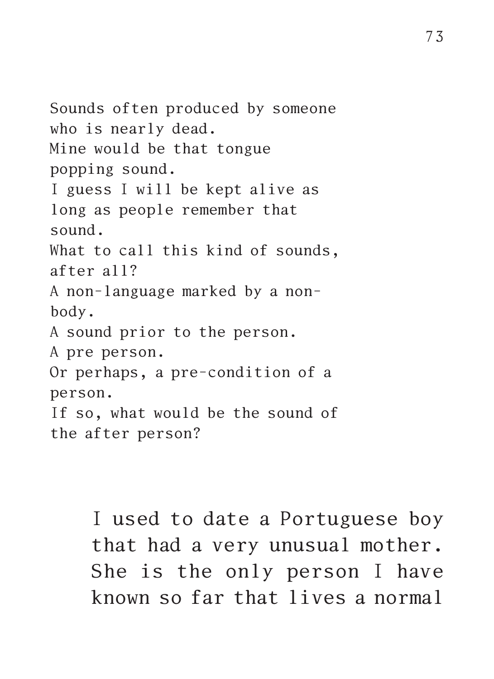Sounds often produced by someone who is nearly dead. Mine would be that tongue popping sound. I guess I will be kept alive as long as people remember that sound. What to call this kind of sounds, after all? A non-language marked by a nonbody. A sound prior to the person. A pre person. Or perhaps, a pre-condition of a person. If so, what would be the sound of the after person?

> I used to date a Portuguese boy that had a very unusual mother. She is the only person I have known so far that lives a normal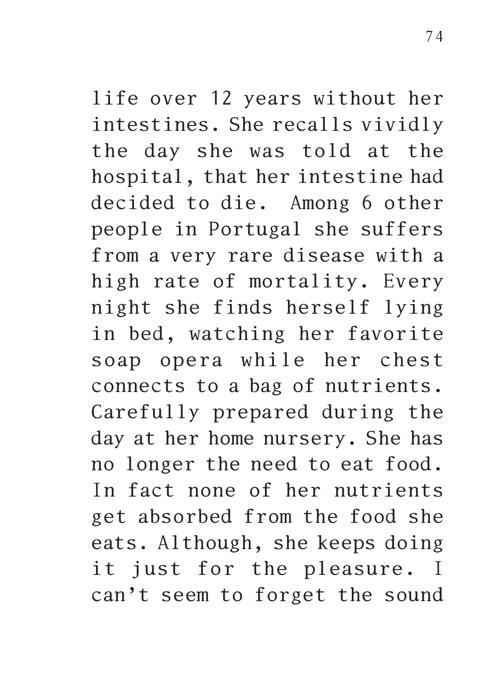life over 12 years without her intestines. She recalls vividly the day she was told at the hospital, that her intestine had decided to die. Among 6 other people in Portugal she suffers from a very rare disease with a high rate of mortality. Every night she finds herself lying in bed, watching her favorite soap opera while her chest connects to a bag of nutrients. Carefully prepared during the day at her home nursery. She has no longer the need to eat food. In fact none of her nutrients get absorbed from the food she eats. Although, she keeps doing it just for the pleasure. I can't seem to forget the sound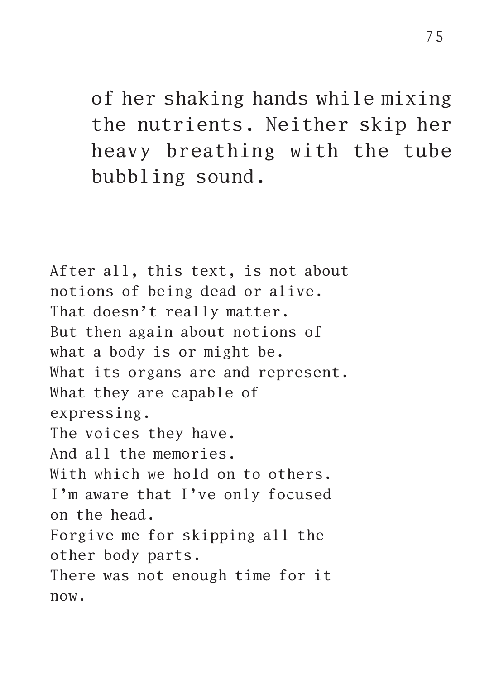of her shaking hands while mixing the nutrients. Neither skip her heavy breathing with the tube bubbling sound.

After all, this text, is not about notions of being dead or alive. That doesn't really matter. But then again about notions of what a body is or might be. What its organs are and represent. What they are capable of expressing. The voices they have. And all the memories. With which we hold on to others. I'm aware that I've only focused on the head. Forgive me for skipping all the other body parts. There was not enough time for it now.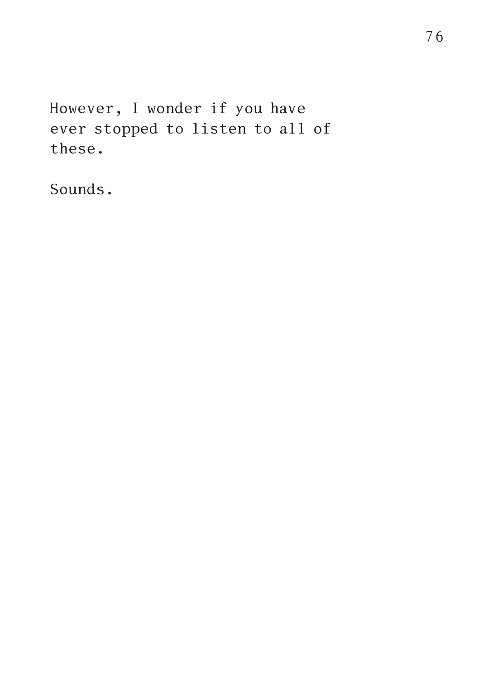However, I wonder if you have ever stopped to listen to all of these.

Sounds.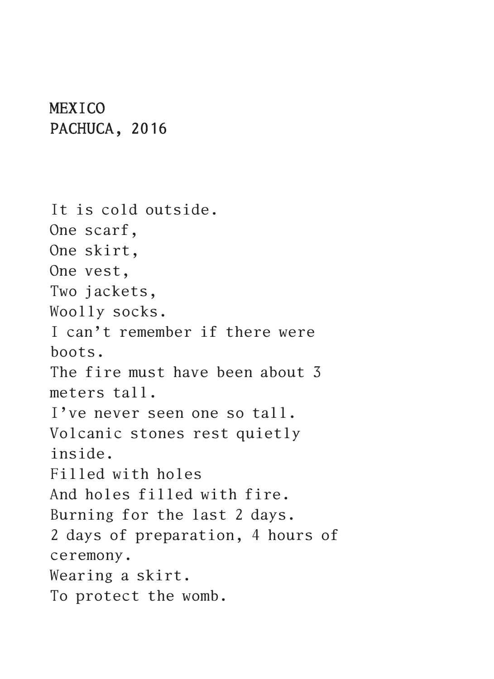## MEXICO PACHUCA, 2016

It is cold outside. One scarf, One skirt, One vest, Two jackets, Woolly socks. I can't remember if there were boots. The fire must have been about 3 meters tall. I've never seen one so tall. Volcanic stones rest quietly inside. Filled with holes And holes filled with fire. Burning for the last 2 days. 2 days of preparation, 4 hours of ceremony. Wearing a skirt. To protect the womb.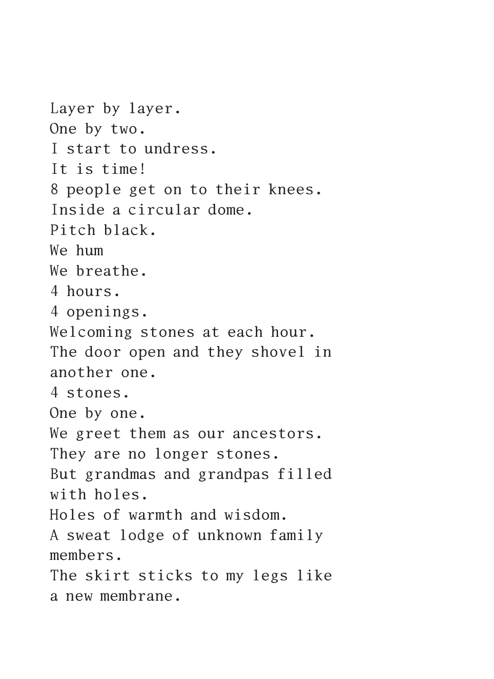Layer by layer. One by two. I start to undress. It is time! 8 people get on to their knees. Inside a circular dome. Pitch black. We hum We breathe. 4 hours. 4 openings. Welcoming stones at each hour. The door open and they shovel in another one. 4 stones. One by one. We greet them as our ancestors. They are no longer stones. But grandmas and grandpas filled with holes. Holes of warmth and wisdom. A sweat lodge of unknown family members. The skirt sticks to my legs like a new membrane.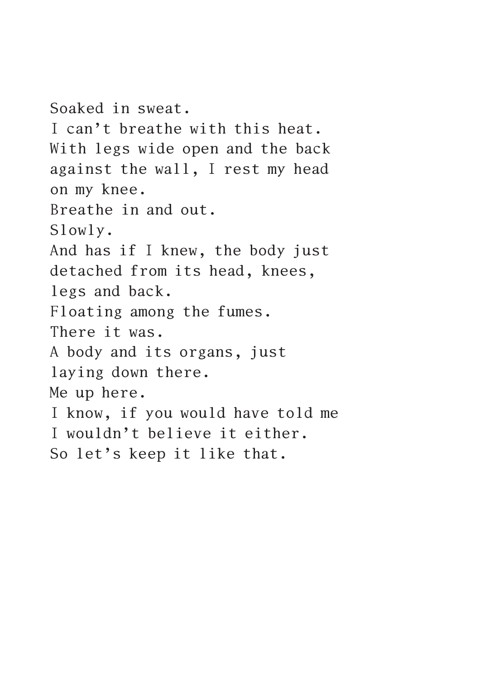Soaked in sweat. I can't breathe with this heat. With legs wide open and the back against the wall, I rest my head on my knee. Breathe in and out. Slowly. And has if I knew, the body just detached from its head, knees, legs and back. Floating among the fumes. There it was. A body and its organs, just laying down there. Me up here. I know, if you would have told me I wouldn't believe it either. So let's keep it like that.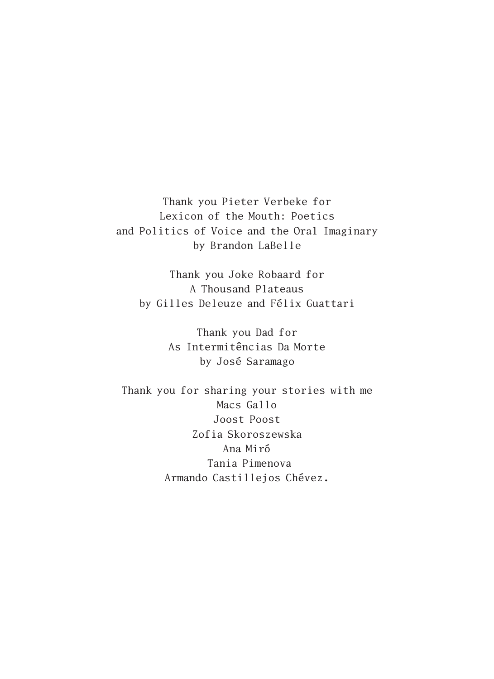Thank you Pieter Verbeke for Lexicon of the Mouth: Poetics and Politics of Voice and the Oral Imaginary by Brandon LaBelle

Thank you Joke Robaard for A Thousand Plateaus by Gilles Deleuze and Félix Guattari

> Thank you Dad for As Intermitências Da Morte by José Saramago

Thank you for sharing your stories with me Macs Gallo Joost Poost Zofia Skoroszewska Ana Miró Tania Pimenova Armando Castillejos Chévez.